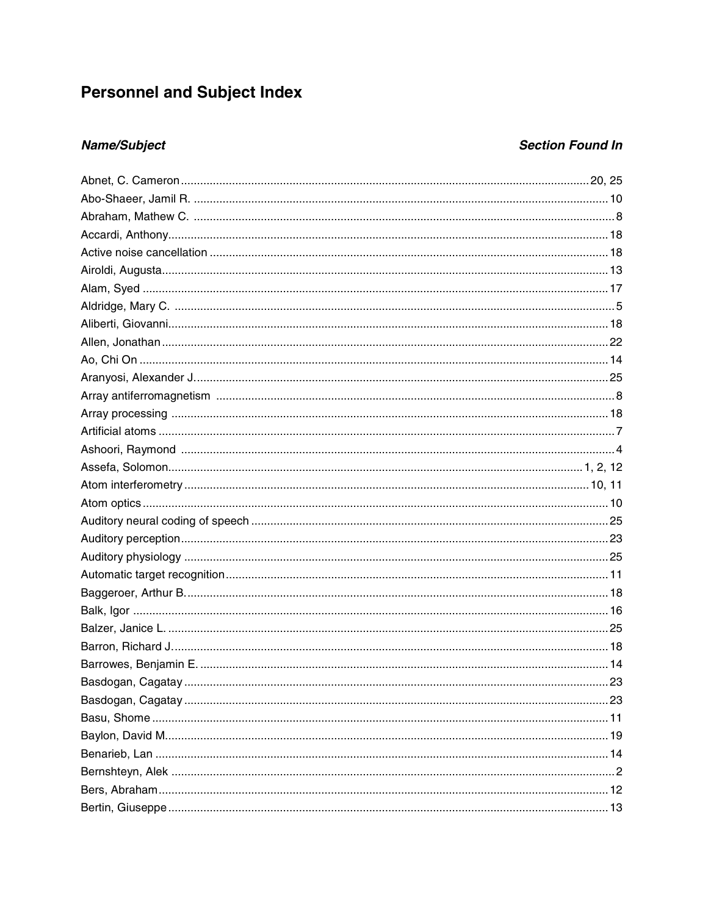# **Personnel and Subject Index**

## **Name/Subject**